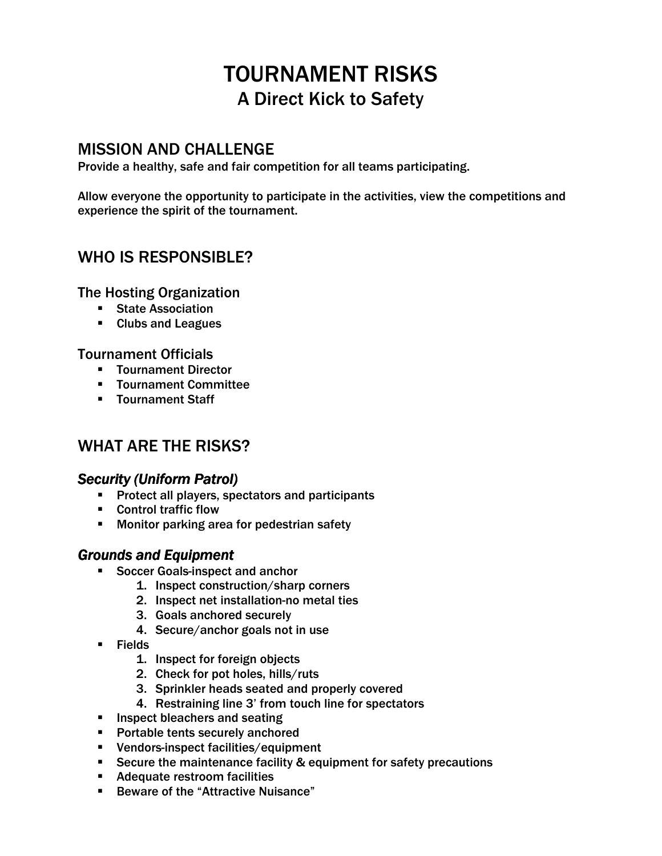# TOURNAMENT RISKS A Direct Kick to Safety

### MISSION AND CHALLENGE

Provide a healthy, safe and fair competition for all teams participating.

Allow everyone the opportunity to participate in the activities, view the competitions and experience the spirit of the tournament.

## WHO IS RESPONSIBLE?

The Hosting Organization

- **State Association**
- **Clubs and Leagues**

### Tournament Officials

- **Tournament Director**
- Tournament Committee
- **Tournament Staff**

## WHAT ARE THE RISKS?

### **Security (Uniform Patrol)**

- **Protect all players, spectators and participants**
- Control traffic flow
- **Monitor parking area for pedestrian safety**

### *Grounds and Equipment*

- **Soccer Goals-inspect and anchor** 
	- 1. Inspect construction/sharp corners
	- 2. Inspect net installation-no metal ties
	- 3. Goals anchored securely
	- 4. Secure/anchor goals not in use
- $\blacksquare$  Fields
	- 1. Inspect for foreign objects
	- 2. Check for pot holes, hills/ruts
	- 3. Sprinkler heads seated and properly covered
	- 4. Restraining line 3' from touch line for spectators
- **Inspect bleachers and seating**
- **Portable tents securely anchored**
- Vendors-inspect facilities/equipment
- Secure the maintenance facility & equipment for safety precautions
- Adequate restroom facilities
- Beware of the "Attractive Nuisance"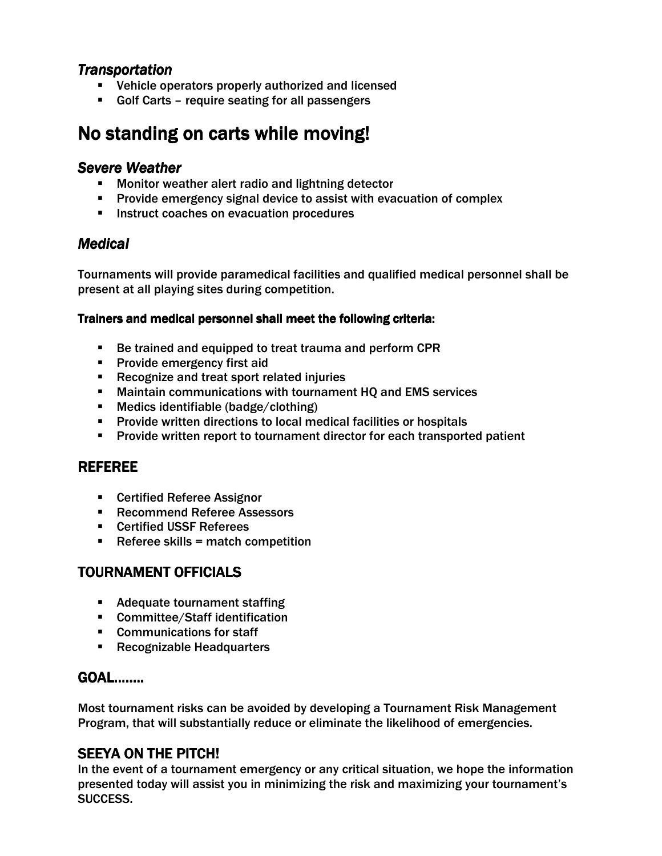### *Transportation*

- **EXECTE:** Vehicle operators properly authorized and licensed
- Golf Carts require seating for all passengers

## No standing on carts while moving!

### **Severe Weather**

- **Monitor weather alert radio and lightning detector**
- Provide emergency signal device to assist with evacuation of complex
- **Instruct coaches on evacuation procedures**

### *Medical*

Tournaments will provide paramedical facilities and qualified medical personnel shall be present at all playing sites during competition.

### Trainers and medical personnel shall meet the following criteria:

- Be trained and equipped to treat trauma and perform CPR
- **Provide emergency first aid**
- **Recognize and treat sport related injuries**
- Maintain communications with tournament HQ and EMS services
- Medics identifiable (badge/clothing)
- **Provide written directions to local medical facilities or hospitals**
- Provide written report to tournament director for each transported patient

### REFEREE

- Certified Referee Assignor
- **Recommend Referee Assessors**
- **EXEC** Certified USSF Referees
- $\blacksquare$  Referee skills = match competition

### TOURNAMENT OFFICIALS

- **Adequate tournament staffing**
- Committee/Staff identification
- Communications for staff
- **Recognizable Headquarters**

### GOAL……..

Most tournament risks can be avoided by developing a Tournament Risk Management Program, that will substantially reduce or eliminate the likelihood of emergencies.

### SEEYA ON THE PITCH!

In the event of a tournament emergency or any critical situation, we hope the information presented today will assist you in minimizing the risk and maximizing your tournament's SUCCESS.